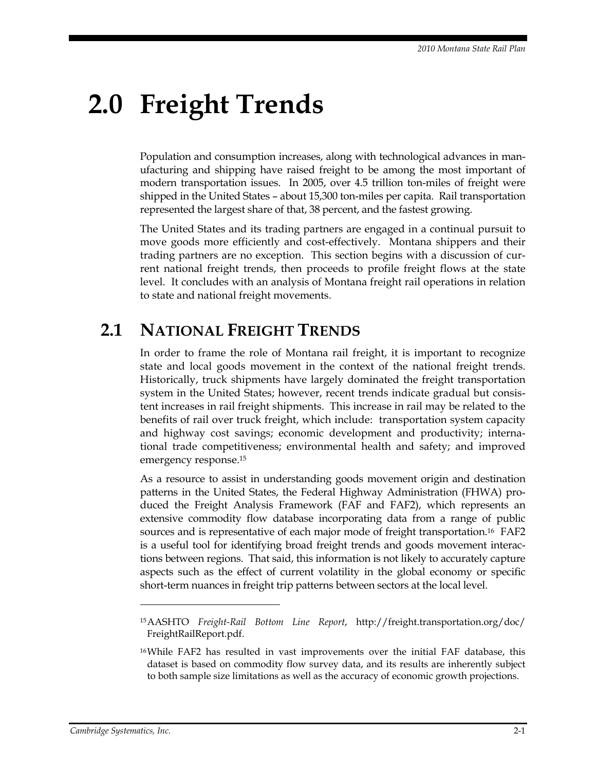# **2.0 Freight Trends**

Population and consumption increases, along with technological advances in manufacturing and shipping have raised freight to be among the most important of modern transportation issues. In 2005, over 4.5 trillion ton-miles of freight were shipped in the United States – about 15,300 ton-miles per capita. Rail transportation represented the largest share of that, 38 percent, and the fastest growing.

The United States and its trading partners are engaged in a continual pursuit to move goods more efficiently and cost-effectively. Montana shippers and their trading partners are no exception. This section begins with a discussion of current national freight trends, then proceeds to profile freight flows at the state level. It concludes with an analysis of Montana freight rail operations in relation to state and national freight movements.

# **2.1 NATIONAL FREIGHT TRENDS**

In order to frame the role of Montana rail freight, it is important to recognize state and local goods movement in the context of the national freight trends. Historically, truck shipments have largely dominated the freight transportation system in the United States; however, recent trends indicate gradual but consistent increases in rail freight shipments. This increase in rail may be related to the benefits of rail over truck freight, which include: transportation system capacity and highway cost savings; economic development and productivity; international trade competitiveness; environmental health and safety; and improved emergency response.15

As a resource to assist in understanding goods movement origin and destination patterns in the United States, the Federal Highway Administration (FHWA) produced the Freight Analysis Framework (FAF and FAF2), which represents an extensive commodity flow database incorporating data from a range of public sources and is representative of each major mode of freight transportation.<sup>16</sup> FAF2 is a useful tool for identifying broad freight trends and goods movement interactions between regions. That said, this information is not likely to accurately capture aspects such as the effect of current volatility in the global economy or specific short-term nuances in freight trip patterns between sectors at the local level.

 $\overline{a}$ 

<sup>15</sup> AASHTO *Freight-Rail Bottom Line Report*, http://freight.transportation.org/doc/ FreightRailReport.pdf.

<sup>16</sup> While FAF2 has resulted in vast improvements over the initial FAF database, this dataset is based on commodity flow survey data, and its results are inherently subject to both sample size limitations as well as the accuracy of economic growth projections.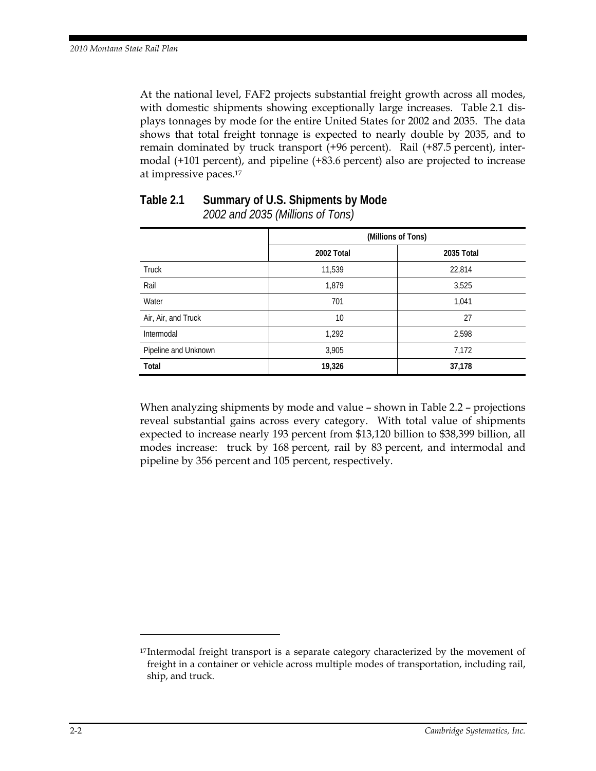At the national level, FAF2 projects substantial freight growth across all modes, with domestic shipments showing exceptionally large increases. Table 2.1 displays tonnages by mode for the entire United States for 2002 and 2035. The data shows that total freight tonnage is expected to nearly double by 2035, and to remain dominated by truck transport (+96 percent). Rail (+87.5 percent), intermodal (+101 percent), and pipeline (+83.6 percent) also are projected to increase at impressive paces.17

|                      | (Millions of Tons) |            |  |
|----------------------|--------------------|------------|--|
|                      | 2002 Total         | 2035 Total |  |
| Truck                | 11,539             | 22,814     |  |
| Rail                 | 1,879              | 3,525      |  |
| Water                | 701                | 1,041      |  |
| Air, Air, and Truck  | 10                 | 27         |  |
| Intermodal           | 1,292              | 2,598      |  |
| Pipeline and Unknown | 3,905              | 7,172      |  |
| Total                | 19,326             | 37,178     |  |

### **Table 2.1 Summary of U.S. Shipments by Mode**  *2002 and 2035 (Millions of Tons)*

When analyzing shipments by mode and value – shown in Table 2.2 – projections reveal substantial gains across every category. With total value of shipments expected to increase nearly 193 percent from \$13,120 billion to \$38,399 billion, all modes increase: truck by 168 percent, rail by 83 percent, and intermodal and pipeline by 356 percent and 105 percent, respectively.

 $\overline{a}$ 

<sup>&</sup>lt;sup>17</sup> Intermodal freight transport is a separate category characterized by the movement of freight in a container or vehicle across multiple modes of transportation, including rail, ship, and truck.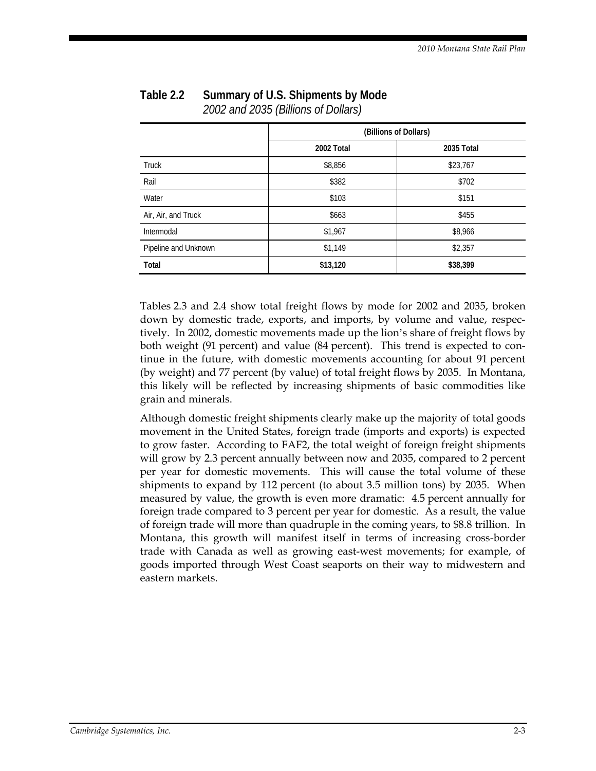|                      | (Billions of Dollars) |            |  |
|----------------------|-----------------------|------------|--|
|                      | 2002 Total            | 2035 Total |  |
| <b>Truck</b>         | \$8,856               | \$23,767   |  |
| Rail                 | \$382                 | \$702      |  |
| Water                | \$103                 | \$151      |  |
| Air, Air, and Truck  | \$663                 | \$455      |  |
| Intermodal           | \$1,967               | \$8,966    |  |
| Pipeline and Unknown | \$1,149               | \$2,357    |  |
| Total                | \$13,120              | \$38,399   |  |

#### **Table 2.2 Summary of U.S. Shipments by Mode**  *2002 and 2035 (Billions of Dollars)*

Tables 2.3 and 2.4 show total freight flows by mode for 2002 and 2035, broken down by domestic trade, exports, and imports, by volume and value, respectively. In 2002, domestic movements made up the lion's share of freight flows by both weight (91 percent) and value (84 percent). This trend is expected to continue in the future, with domestic movements accounting for about 91 percent (by weight) and 77 percent (by value) of total freight flows by 2035. In Montana, this likely will be reflected by increasing shipments of basic commodities like grain and minerals.

Although domestic freight shipments clearly make up the majority of total goods movement in the United States, foreign trade (imports and exports) is expected to grow faster. According to FAF2, the total weight of foreign freight shipments will grow by 2.3 percent annually between now and 2035, compared to 2 percent per year for domestic movements. This will cause the total volume of these shipments to expand by 112 percent (to about 3.5 million tons) by 2035. When measured by value, the growth is even more dramatic: 4.5 percent annually for foreign trade compared to 3 percent per year for domestic. As a result, the value of foreign trade will more than quadruple in the coming years, to \$8.8 trillion. In Montana, this growth will manifest itself in terms of increasing cross-border trade with Canada as well as growing east-west movements; for example, of goods imported through West Coast seaports on their way to midwestern and eastern markets.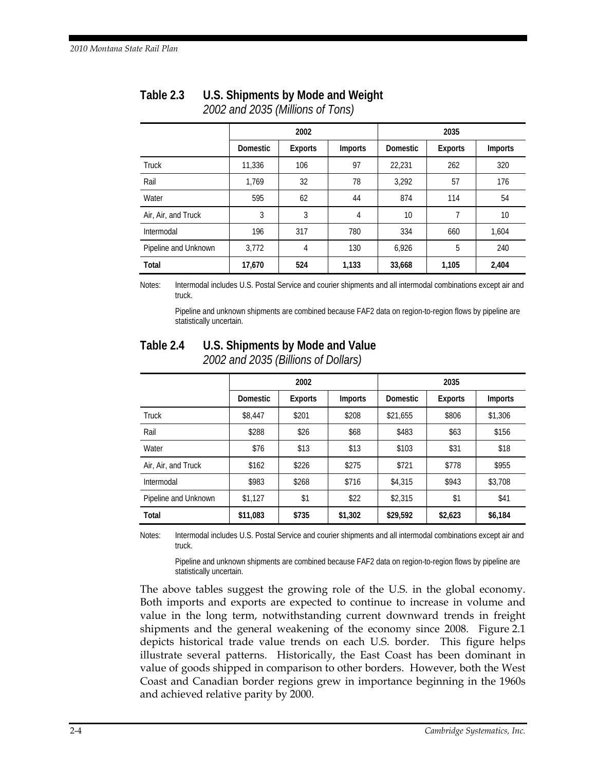|                      | 2002            |                |                |                 |         |                |
|----------------------|-----------------|----------------|----------------|-----------------|---------|----------------|
|                      | <b>Domestic</b> | <b>Exports</b> | <b>Imports</b> | <b>Domestic</b> | Exports | <b>Imports</b> |
| <b>Truck</b>         | 11,336          | 106            | 97             | 22,231          | 262     | 320            |
| Rail                 | 1,769           | 32             | 78             | 3,292           | 57      | 176            |
| Water                | 595             | 62             | 44             | 874             | 114     | 54             |
| Air, Air, and Truck  | 3               | 3              | 4              | 10              |         | 10             |
| Intermodal           | 196             | 317            | 780            | 334             | 660     | 1,604          |
| Pipeline and Unknown | 3,772           | 4              | 130            | 6,926           | 5       | 240            |
| Total                | 17,670          | 524            | 1,133          | 33,668          | 1,105   | 2,404          |

### **Table 2.3 U.S. Shipments by Mode and Weight**  *2002 and 2035 (Millions of Tons)*

Notes: Intermodal includes U.S. Postal Service and courier shipments and all intermodal combinations except air and truck.

 Pipeline and unknown shipments are combined because FAF2 data on region-to-region flows by pipeline are statistically uncertain.

|                      | 2002            |         |         | 2035            |         |                |
|----------------------|-----------------|---------|---------|-----------------|---------|----------------|
|                      | <b>Domestic</b> | Exports | Imports | <b>Domestic</b> | Exports | <b>Imports</b> |
| <b>Truck</b>         | \$8,447         | \$201   | \$208   | \$21.655        | \$806   | \$1,306        |
| Rail                 | \$288           | \$26    | \$68    | \$483           | \$63    | \$156          |
| Water                | \$76            | \$13    | \$13    | \$103           | \$31    | \$18           |
| Air, Air, and Truck  | \$162           | \$226   | \$275   | \$721           | \$778   | \$955          |
| Intermodal           | \$983           | \$268   | \$716   | \$4,315         | \$943   | \$3,708        |
| Pipeline and Unknown | \$1,127         | \$1     | \$22    | \$2,315         | \$1     | \$41           |
| Total                | \$11,083        | \$735   | \$1,302 | \$29,592        | \$2,623 | \$6,184        |

## **Table 2.4 U.S. Shipments by Mode and Value**

*2002 and 2035 (Billions of Dollars)* 

Notes: Intermodal includes U.S. Postal Service and courier shipments and all intermodal combinations except air and truck.

 Pipeline and unknown shipments are combined because FAF2 data on region-to-region flows by pipeline are statistically uncertain.

The above tables suggest the growing role of the U.S. in the global economy. Both imports and exports are expected to continue to increase in volume and value in the long term, notwithstanding current downward trends in freight shipments and the general weakening of the economy since 2008. Figure 2.1 depicts historical trade value trends on each U.S. border. This figure helps illustrate several patterns. Historically, the East Coast has been dominant in value of goods shipped in comparison to other borders. However, both the West Coast and Canadian border regions grew in importance beginning in the 1960s and achieved relative parity by 2000.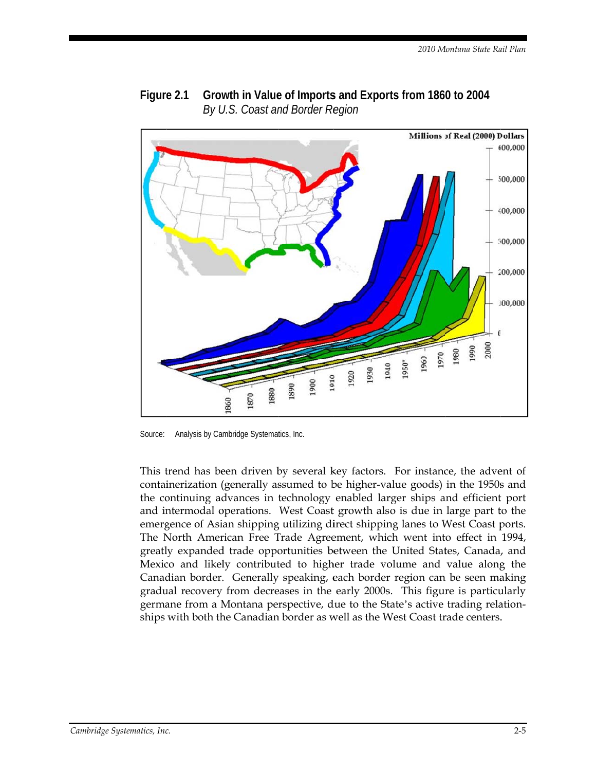



Analysis by Cambridge Systematics, Inc. Source:

This trend has been driven by several key factors. For instance, the advent of containerization (generally assumed to be higher-value goods) in the 1950s and the continuing advances in technology enabled larger ships and efficient port and intermodal operations. West Coast growth also is due in large part to the emergence of Asian shipping utilizing direct shipping lanes to West Coast ports. The North American Free Trade Agreement, which went into effect in 1994, greatly expanded trade opportunities between the United States, Canada, and Mexico and likely contributed to higher trade volume and value along the Canadian border. Generally speaking, each border region can be seen making gradual recovery from decreases in the early 2000s. This figure is particularly germane from a Montana perspective, due to the State's active trading relationships with both the Canadian border as well as the West Coast trade centers.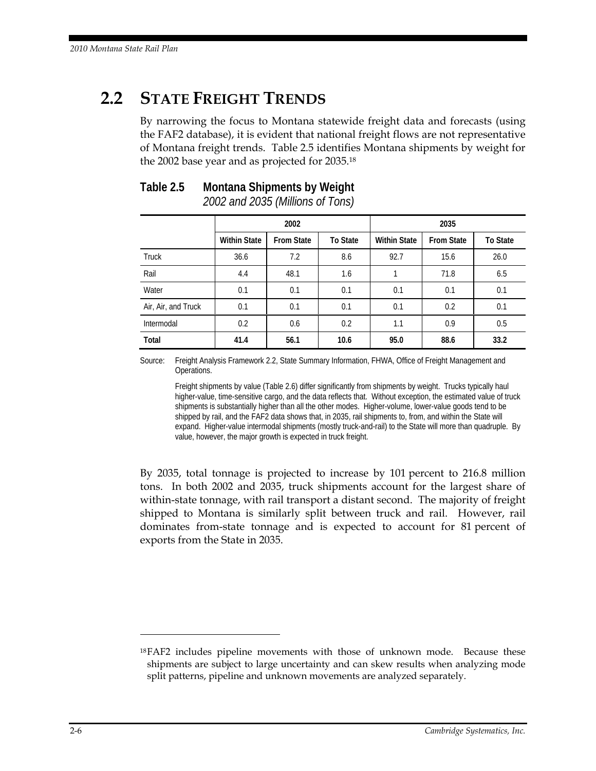# **2.2 STATE FREIGHT TRENDS**

By narrowing the focus to Montana statewide freight data and forecasts (using the FAF2 database), it is evident that national freight flows are not representative of Montana freight trends. Table 2.5 identifies Montana shipments by weight for the 2002 base year and as projected for 2035.18

# **Table 2.5 Montana Shipments by Weight**

*2002 and 2035 (Millions of Tons)* 

|                     | 2002                |                   |                 | 2035                |                   |                 |
|---------------------|---------------------|-------------------|-----------------|---------------------|-------------------|-----------------|
|                     | <b>Within State</b> | <b>From State</b> | <b>To State</b> | <b>Within State</b> | <b>From State</b> | <b>To State</b> |
| <b>Truck</b>        | 36.6                | 7.2               | 8.6             | 92.7                | 15.6              | 26.0            |
| Rail                | 4.4                 | 48.1              | 1.6             |                     | 71.8              | 6.5             |
| Water               | 0.1                 | 0.1               | 0.1             | 0.1                 | 0.1               | 0.1             |
| Air, Air, and Truck | 0.1                 | 0.1               | 0.1             | 0.1                 | 0.2               | 0.1             |
| Intermodal          | 0.2                 | 0.6               | 0.2             | 1.1                 | 0.9               | 0.5             |
| Total               | 41.4                | 56.1              | 10.6            | 95.0                | 88.6              | 33.2            |

Source: Freight Analysis Framework 2.2, State Summary Information, FHWA, Office of Freight Management and Operations.

 Freight shipments by value (Table 2.6) differ significantly from shipments by weight. Trucks typically haul higher-value, time-sensitive cargo, and the data reflects that. Without exception, the estimated value of truck shipments is substantially higher than all the other modes. Higher-volume, lower-value goods tend to be shipped by rail, and the FAF2 data shows that, in 2035, rail shipments to, from, and within the State will expand. Higher-value intermodal shipments (mostly truck-and-rail) to the State will more than quadruple. By value, however, the major growth is expected in truck freight.

By 2035, total tonnage is projected to increase by 101 percent to 216.8 million tons. In both 2002 and 2035, truck shipments account for the largest share of within-state tonnage, with rail transport a distant second. The majority of freight shipped to Montana is similarly split between truck and rail. However, rail dominates from-state tonnage and is expected to account for 81 percent of exports from the State in 2035.

 $\overline{a}$ 

<sup>18</sup> FAF2 includes pipeline movements with those of unknown mode. Because these shipments are subject to large uncertainty and can skew results when analyzing mode split patterns, pipeline and unknown movements are analyzed separately.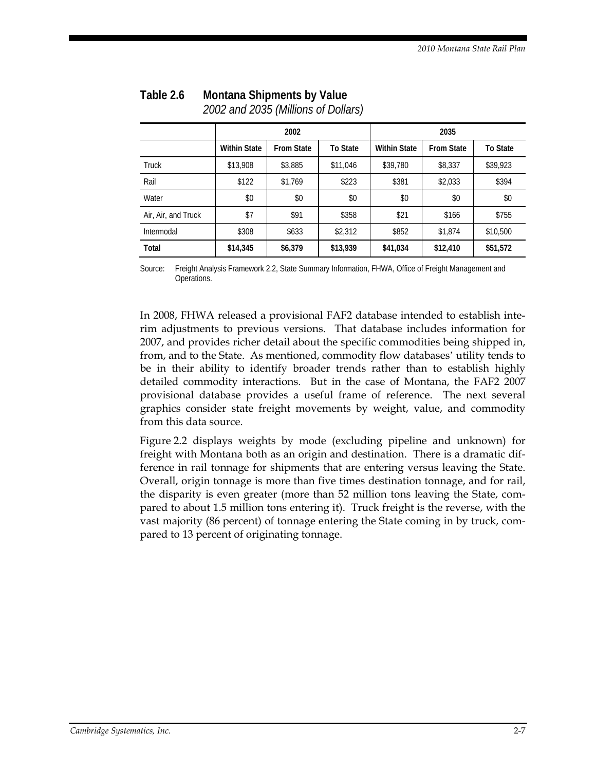|                     | 2002                |                   |                 | 2035                |                   |                 |
|---------------------|---------------------|-------------------|-----------------|---------------------|-------------------|-----------------|
|                     | <b>Within State</b> | <b>From State</b> | <b>To State</b> | <b>Within State</b> | <b>From State</b> | <b>To State</b> |
| <b>Truck</b>        | \$13,908            | \$3,885           | \$11,046        | \$39,780            | \$8,337           | \$39,923        |
| Rail                | \$122               | \$1.769           | \$223           | \$381               | \$2,033           | \$394           |
| Water               | \$0                 | \$0               | \$0             | \$0                 | \$0               | \$0             |
| Air, Air, and Truck | \$7                 | \$91              | \$358           | \$21                | \$166             | \$755           |
| Intermodal          | \$308               | \$633             | \$2,312         | \$852               | \$1,874           | \$10,500        |
| Total               | \$14,345            | \$6,379           | \$13,939        | \$41,034            | \$12,410          | \$51,572        |

#### **Table 2.6 Montana Shipments by Value**  *2002 and 2035 (Millions of Dollars)*

Source: Freight Analysis Framework 2.2, State Summary Information, FHWA, Office of Freight Management and Operations.

In 2008, FHWA released a provisional FAF2 database intended to establish interim adjustments to previous versions. That database includes information for 2007, and provides richer detail about the specific commodities being shipped in, from, and to the State. As mentioned, commodity flow databases' utility tends to be in their ability to identify broader trends rather than to establish highly detailed commodity interactions. But in the case of Montana, the FAF2 2007 provisional database provides a useful frame of reference. The next several graphics consider state freight movements by weight, value, and commodity from this data source.

Figure 2.2 displays weights by mode (excluding pipeline and unknown) for freight with Montana both as an origin and destination. There is a dramatic difference in rail tonnage for shipments that are entering versus leaving the State. Overall, origin tonnage is more than five times destination tonnage, and for rail, the disparity is even greater (more than 52 million tons leaving the State, compared to about 1.5 million tons entering it). Truck freight is the reverse, with the vast majority (86 percent) of tonnage entering the State coming in by truck, compared to 13 percent of originating tonnage.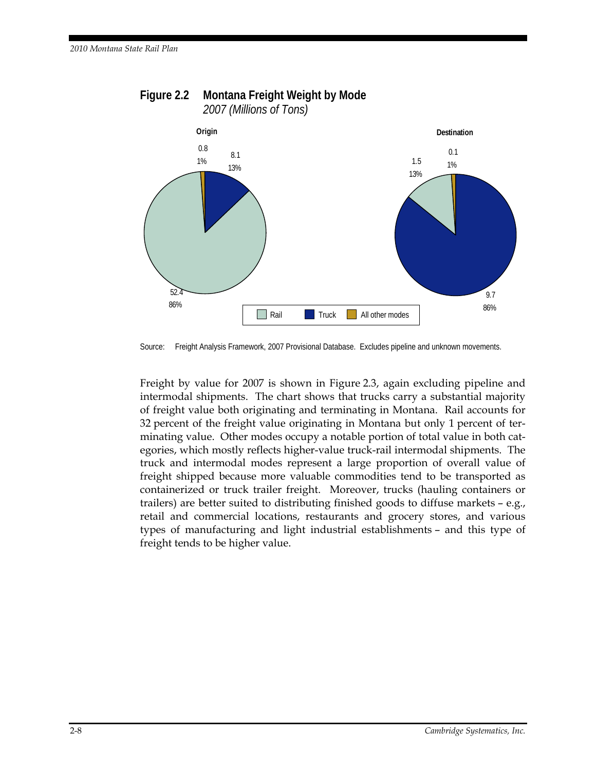

#### **Figure 2.2 Montana Freight Weight by Mode**  *2007 (Millions of Tons)*

Source: Freight Analysis Framework, 2007 Provisional Database. Excludes pipeline and unknown movements.

Freight by value for 2007 is shown in Figure 2.3, again excluding pipeline and intermodal shipments. The chart shows that trucks carry a substantial majority of freight value both originating and terminating in Montana. Rail accounts for 32 percent of the freight value originating in Montana but only 1 percent of terminating value. Other modes occupy a notable portion of total value in both categories, which mostly reflects higher-value truck-rail intermodal shipments. The truck and intermodal modes represent a large proportion of overall value of freight shipped because more valuable commodities tend to be transported as containerized or truck trailer freight. Moreover, trucks (hauling containers or trailers) are better suited to distributing finished goods to diffuse markets – e.g., retail and commercial locations, restaurants and grocery stores, and various types of manufacturing and light industrial establishments – and this type of freight tends to be higher value.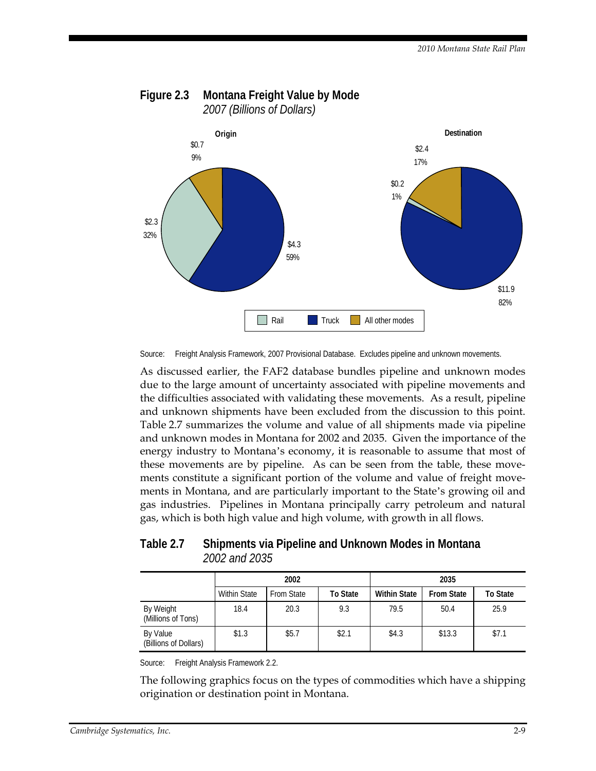

#### **Figure 2.3 Montana Freight Value by Mode**  *2007 (Billions of Dollars)*

Source: Freight Analysis Framework, 2007 Provisional Database. Excludes pipeline and unknown movements.

As discussed earlier, the FAF2 database bundles pipeline and unknown modes due to the large amount of uncertainty associated with pipeline movements and the difficulties associated with validating these movements. As a result, pipeline and unknown shipments have been excluded from the discussion to this point. Table 2.7 summarizes the volume and value of all shipments made via pipeline and unknown modes in Montana for 2002 and 2035. Given the importance of the energy industry to Montana's economy, it is reasonable to assume that most of these movements are by pipeline. As can be seen from the table, these movements constitute a significant portion of the volume and value of freight movements in Montana, and are particularly important to the State's growing oil and gas industries. Pipelines in Montana principally carry petroleum and natural gas, which is both high value and high volume, with growth in all flows.

**Table 2.7 Shipments via Pipeline and Unknown Modes in Montana**  *2002 and 2035* 

|                                   | 2002                |                   |          | 2035                |                   |                 |
|-----------------------------------|---------------------|-------------------|----------|---------------------|-------------------|-----------------|
|                                   | <b>Within State</b> | <b>From State</b> | To State | <b>Within State</b> | <b>From State</b> | <b>To State</b> |
| By Weight<br>(Millions of Tons)   | 18.4                | 20.3              | 9.3      | 79.5                | 50.4              | 25.9            |
| By Value<br>(Billions of Dollars) | \$1.3               | \$5.7             | \$2.1    | \$4.3               | \$13.3            | \$7.1           |

Source: Freight Analysis Framework 2.2.

The following graphics focus on the types of commodities which have a shipping origination or destination point in Montana.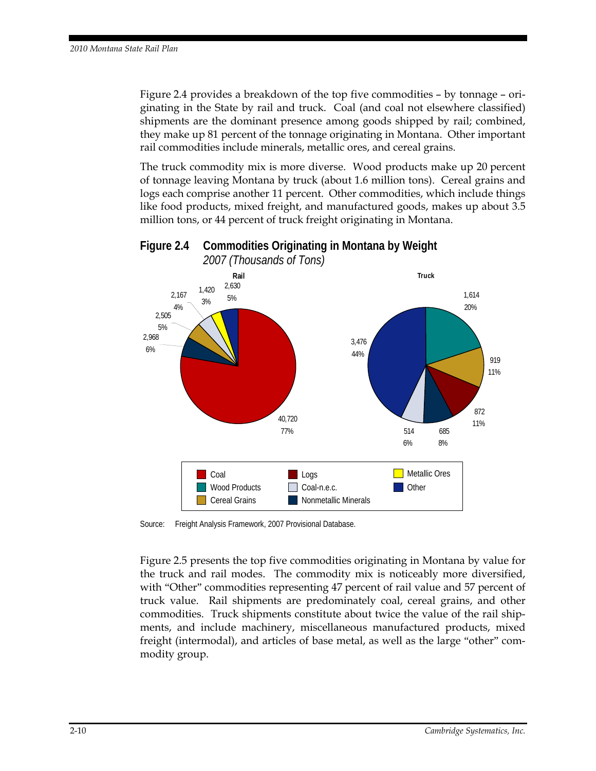Figure 2.4 provides a breakdown of the top five commodities – by tonnage – originating in the State by rail and truck. Coal (and coal not elsewhere classified) shipments are the dominant presence among goods shipped by rail; combined, they make up 81 percent of the tonnage originating in Montana. Other important rail commodities include minerals, metallic ores, and cereal grains.

The truck commodity mix is more diverse. Wood products make up 20 percent of tonnage leaving Montana by truck (about 1.6 million tons). Cereal grains and logs each comprise another 11 percent. Other commodities, which include things like food products, mixed freight, and manufactured goods, makes up about 3.5 million tons, or 44 percent of truck freight originating in Montana.



### **Figure 2.4 Commodities Originating in Montana by Weight**  *2007 (Thousands of Tons)*

Source: Freight Analysis Framework, 2007 Provisional Database.

Figure 2.5 presents the top five commodities originating in Montana by value for the truck and rail modes. The commodity mix is noticeably more diversified, with "Other" commodities representing 47 percent of rail value and 57 percent of truck value. Rail shipments are predominately coal, cereal grains, and other commodities. Truck shipments constitute about twice the value of the rail shipments, and include machinery, miscellaneous manufactured products, mixed freight (intermodal), and articles of base metal, as well as the large "other" commodity group.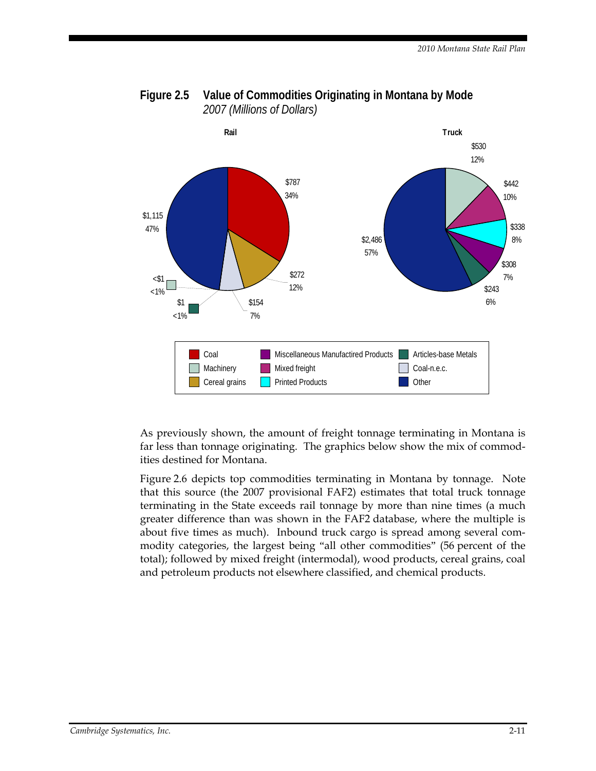

#### **Figure 2.5 Value of Commodities Originating in Montana by Mode**  *2007 (Millions of Dollars)*

As previously shown, the amount of freight tonnage terminating in Montana is far less than tonnage originating. The graphics below show the mix of commodities destined for Montana.

Figure 2.6 depicts top commodities terminating in Montana by tonnage. Note that this source (the 2007 provisional FAF2) estimates that total truck tonnage terminating in the State exceeds rail tonnage by more than nine times (a much greater difference than was shown in the FAF2 database, where the multiple is about five times as much). Inbound truck cargo is spread among several commodity categories, the largest being "all other commodities" (56 percent of the total); followed by mixed freight (intermodal), wood products, cereal grains, coal and petroleum products not elsewhere classified, and chemical products.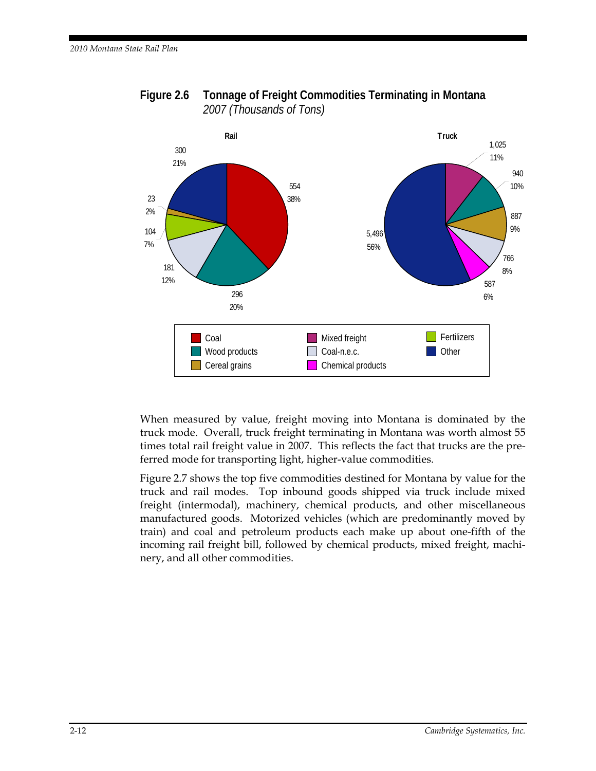

**Figure 2.6 Tonnage of Freight Commodities Terminating in Montana**  *2007 (Thousands of Tons)* 

When measured by value, freight moving into Montana is dominated by the truck mode. Overall, truck freight terminating in Montana was worth almost 55 times total rail freight value in 2007. This reflects the fact that trucks are the preferred mode for transporting light, higher-value commodities.

Figure 2.7 shows the top five commodities destined for Montana by value for the truck and rail modes. Top inbound goods shipped via truck include mixed freight (intermodal), machinery, chemical products, and other miscellaneous manufactured goods. Motorized vehicles (which are predominantly moved by train) and coal and petroleum products each make up about one-fifth of the incoming rail freight bill, followed by chemical products, mixed freight, machinery, and all other commodities.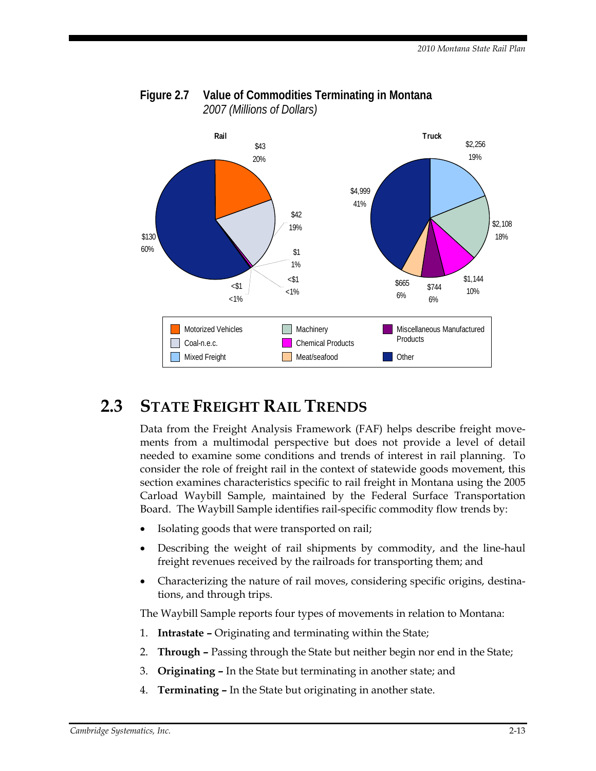

### **Figure 2.7 Value of Commodities Terminating in Montana**  *2007 (Millions of Dollars)*

# **2.3 STATE FREIGHT RAIL TRENDS**

Data from the Freight Analysis Framework (FAF) helps describe freight movements from a multimodal perspective but does not provide a level of detail needed to examine some conditions and trends of interest in rail planning. To consider the role of freight rail in the context of statewide goods movement, this section examines characteristics specific to rail freight in Montana using the 2005 Carload Waybill Sample, maintained by the Federal Surface Transportation Board. The Waybill Sample identifies rail-specific commodity flow trends by:

- Isolating goods that were transported on rail;
- Describing the weight of rail shipments by commodity, and the line-haul freight revenues received by the railroads for transporting them; and
- Characterizing the nature of rail moves, considering specific origins, destinations, and through trips.

The Waybill Sample reports four types of movements in relation to Montana:

- 1. **Intrastate** Originating and terminating within the State;
- 2. **Through** Passing through the State but neither begin nor end in the State;
- 3. **Originating** In the State but terminating in another state; and
- 4. **Terminating** In the State but originating in another state.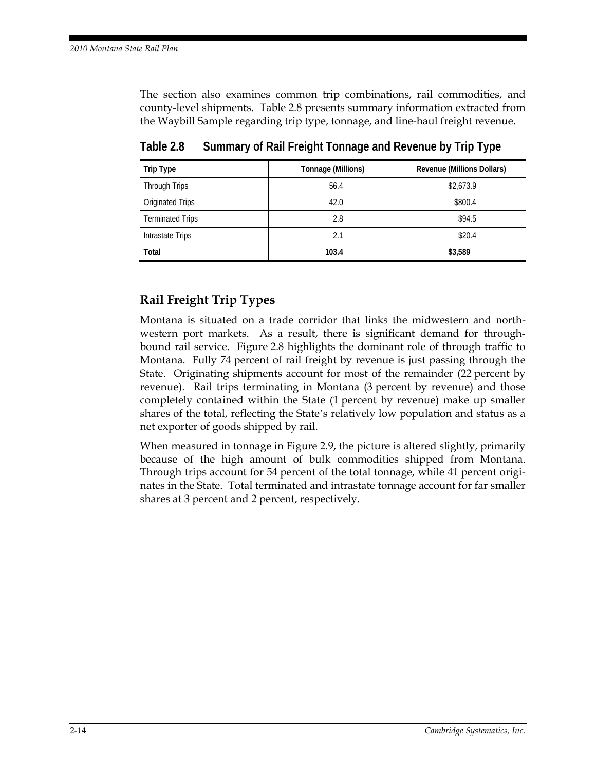The section also examines common trip combinations, rail commodities, and county-level shipments. Table 2.8 presents summary information extracted from the Waybill Sample regarding trip type, tonnage, and line-haul freight revenue.

| Trip Type               | Tonnage (Millions) | Revenue (Millions Dollars) |
|-------------------------|--------------------|----------------------------|
| Through Trips           | 56.4               | \$2,673.9                  |
| Originated Trips        | 42.0               | \$800.4                    |
| <b>Terminated Trips</b> | 2.8                | \$94.5                     |
| Intrastate Trips        | 2.1                | \$20.4                     |
| <b>Total</b>            | 103.4              | \$3,589                    |

**Table 2.8 Summary of Rail Freight Tonnage and Revenue by Trip Type** 

## **Rail Freight Trip Types**

Montana is situated on a trade corridor that links the midwestern and northwestern port markets. As a result, there is significant demand for throughbound rail service. Figure 2.8 highlights the dominant role of through traffic to Montana. Fully 74 percent of rail freight by revenue is just passing through the State. Originating shipments account for most of the remainder (22 percent by revenue). Rail trips terminating in Montana (3 percent by revenue) and those completely contained within the State (1 percent by revenue) make up smaller shares of the total, reflecting the State's relatively low population and status as a net exporter of goods shipped by rail.

When measured in tonnage in Figure 2.9, the picture is altered slightly, primarily because of the high amount of bulk commodities shipped from Montana. Through trips account for 54 percent of the total tonnage, while 41 percent originates in the State. Total terminated and intrastate tonnage account for far smaller shares at 3 percent and 2 percent, respectively.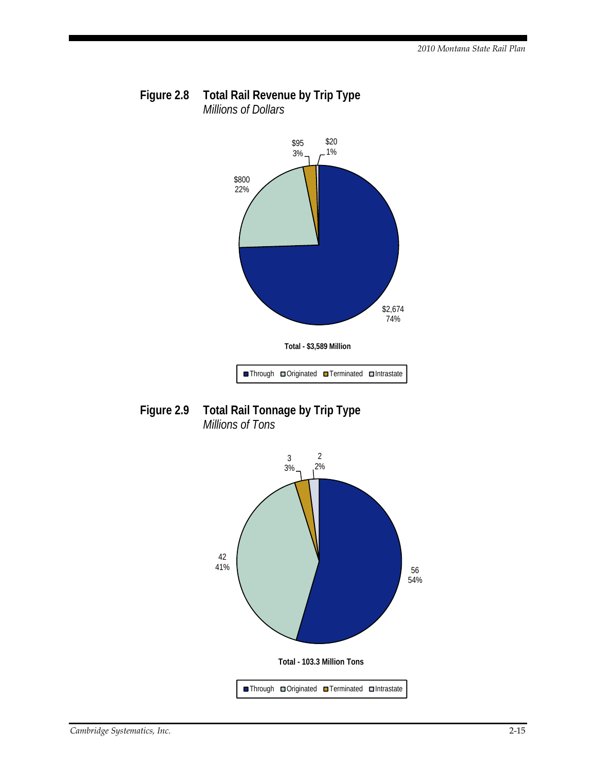



**Figure 2.9 Total Rail Tonnage by Trip Type**  *Millions of Tons* 

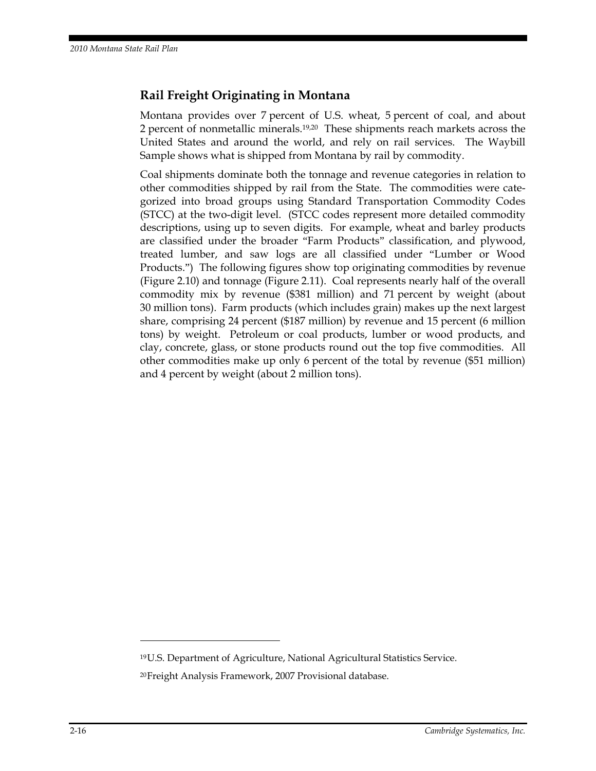### **Rail Freight Originating in Montana**

Montana provides over 7 percent of U.S. wheat, 5 percent of coal, and about 2 percent of nonmetallic minerals.19,20 These shipments reach markets across the United States and around the world, and rely on rail services. The Waybill Sample shows what is shipped from Montana by rail by commodity.

Coal shipments dominate both the tonnage and revenue categories in relation to other commodities shipped by rail from the State. The commodities were categorized into broad groups using Standard Transportation Commodity Codes (STCC) at the two-digit level. (STCC codes represent more detailed commodity descriptions, using up to seven digits. For example, wheat and barley products are classified under the broader "Farm Products" classification, and plywood, treated lumber, and saw logs are all classified under "Lumber or Wood Products.") The following figures show top originating commodities by revenue (Figure 2.10) and tonnage (Figure 2.11). Coal represents nearly half of the overall commodity mix by revenue (\$381 million) and 71 percent by weight (about 30 million tons). Farm products (which includes grain) makes up the next largest share, comprising 24 percent (\$187 million) by revenue and 15 percent (6 million tons) by weight. Petroleum or coal products, lumber or wood products, and clay, concrete, glass, or stone products round out the top five commodities. All other commodities make up only 6 percent of the total by revenue (\$51 million) and 4 percent by weight (about 2 million tons).

<u>.</u>

<sup>19</sup> U.S. Department of Agriculture, National Agricultural Statistics Service. 20 Freight Analysis Framework, 2007 Provisional database.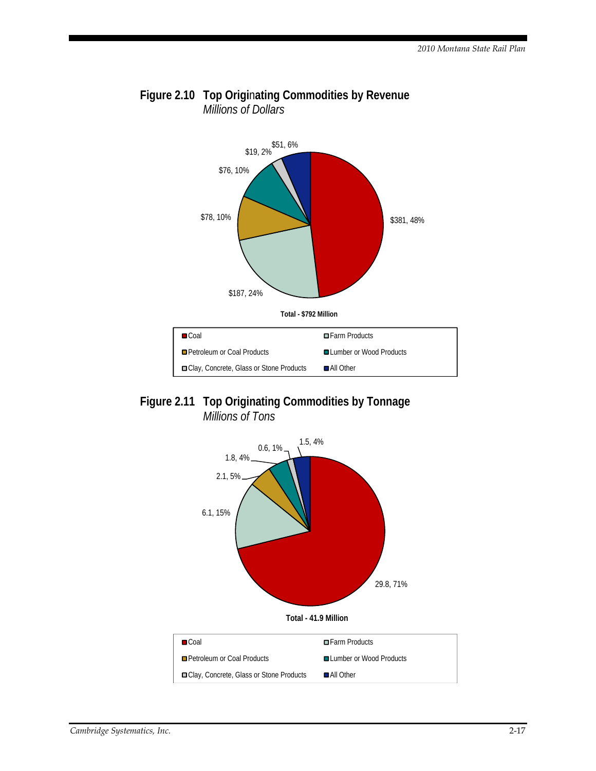

### **Figure 2.10 Top Origi**n**ating Commodities by Revenue**  *Millions of Dollars*



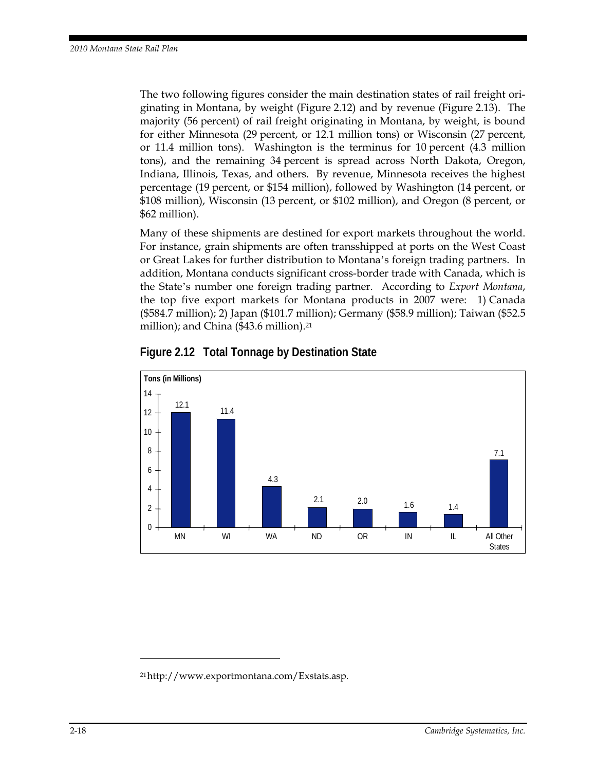The two following figures consider the main destination states of rail freight originating in Montana, by weight (Figure 2.12) and by revenue (Figure 2.13). The majority (56 percent) of rail freight originating in Montana, by weight, is bound for either Minnesota (29 percent, or 12.1 million tons) or Wisconsin (27 percent, or 11.4 million tons). Washington is the terminus for 10 percent (4.3 million tons), and the remaining 34 percent is spread across North Dakota, Oregon, Indiana, Illinois, Texas, and others. By revenue, Minnesota receives the highest percentage (19 percent, or \$154 million), followed by Washington (14 percent, or \$108 million), Wisconsin (13 percent, or \$102 million), and Oregon (8 percent, or \$62 million).

Many of these shipments are destined for export markets throughout the world. For instance, grain shipments are often transshipped at ports on the West Coast or Great Lakes for further distribution to Montana's foreign trading partners. In addition, Montana conducts significant cross-border trade with Canada, which is the State's number one foreign trading partner. According to *Export Montana*, the top five export markets for Montana products in 2007 were: 1) Canada (\$584.7 million); 2) Japan (\$101.7 million); Germany (\$58.9 million); Taiwan (\$52.5 million); and China (\$43.6 million).<sup>21</sup>



**Figure 2.12 Total Tonnage by Destination State** 

 $\ddot{\phantom{a}}$ 

<sup>21</sup> http://www.exportmontana.com/Exstats.asp.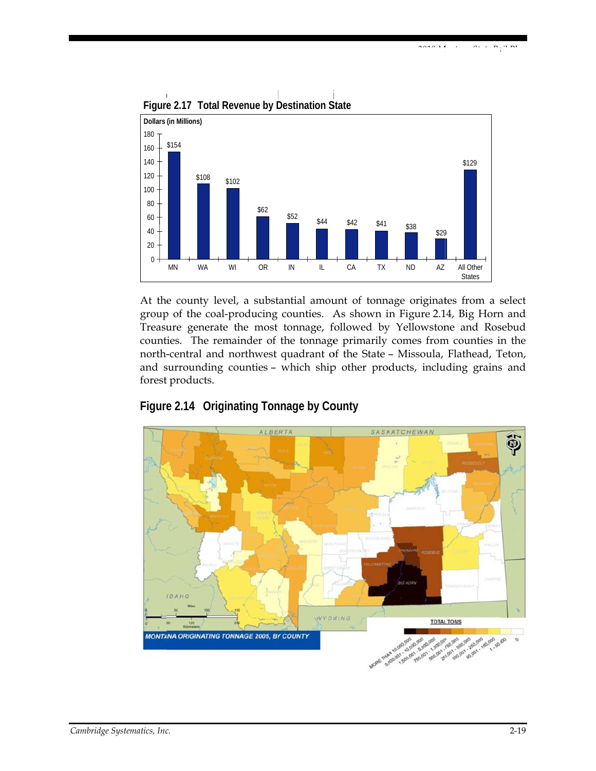

Figure 2.17 Total Revenue by Destination State

At the county level, a substantial amount of tonnage originates from a select group of the coal-producing counties. As shown in Figure 2.14, Big Horn and Treasure generate the most tonnage, followed by Yellowstone and Rosebud counties. The remainder of the tonnage primarily comes from counties in the north-central and northwest quadrant of the State - Missoula, Flathead, Teton, and surrounding counties - which ship other products, including grains and forest products.



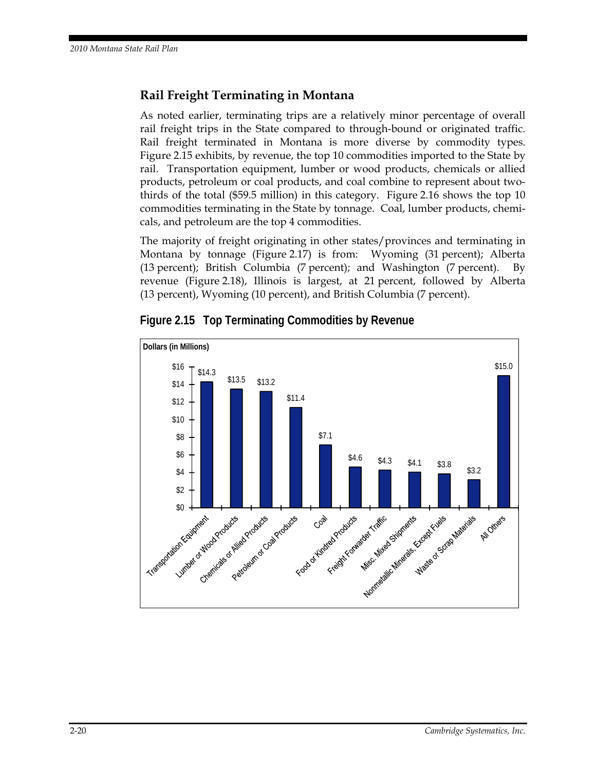### **Rail Freight Terminating in Montana**

As noted earlier, terminating trips are a relatively minor percentage of overall rail freight trips in the State compared to through-bound or originated traffic. Rail freight terminated in Montana is more diverse by commodity types. Figure 2.15 exhibits, by revenue, the top 10 commodities imported to the State by rail. Transportation equipment, lumber or wood products, chemicals or allied products, petroleum or coal products, and coal combine to represent about twothirds of the total (\$59.5 million) in this category. Figure 2.16 shows the top 10 commodities terminating in the State by tonnage. Coal, lumber products, chemicals, and petroleum are the top 4 commodities.

The majority of freight originating in other states/provinces and terminating in Montana by tonnage (Figure 2.17) is from: Wyoming (31 percent); Alberta (13 percent); British Columbia (7 percent); and Washington (7 percent). By revenue (Figure 2.18), Illinois is largest, at 21 percent, followed by Alberta (13 percent), Wyoming (10 percent), and British Columbia (7 percent).



**Figure 2.15 Top Terminating Commodities by Revenue**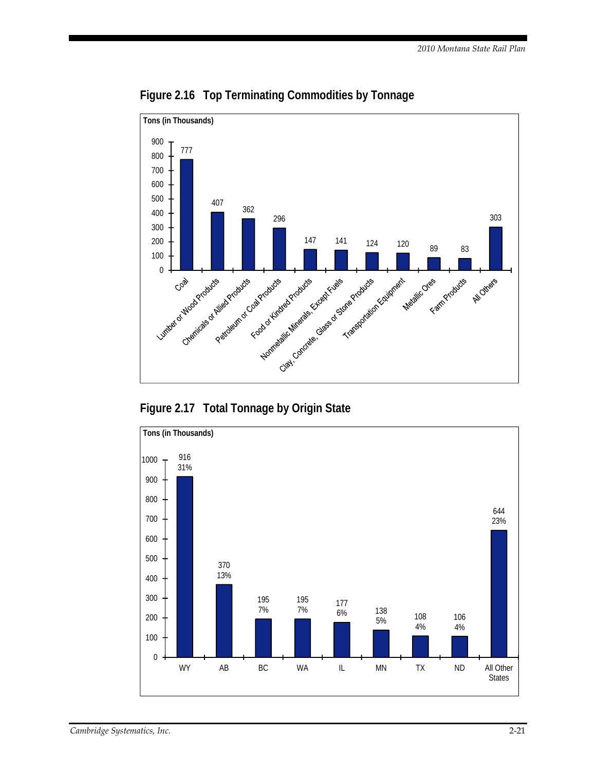

**Figure 2.16 Top Terminating Commodities by Tonnage** 



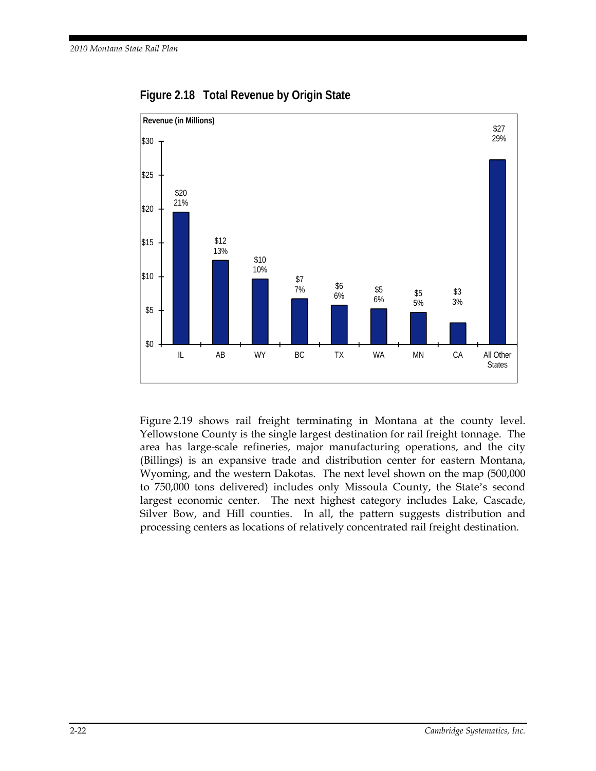

**Figure 2.18 Total Revenue by Origin State** 

Figure 2.19 shows rail freight terminating in Montana at the county level. Yellowstone County is the single largest destination for rail freight tonnage. The area has large-scale refineries, major manufacturing operations, and the city (Billings) is an expansive trade and distribution center for eastern Montana, Wyoming, and the western Dakotas. The next level shown on the map (500,000 to 750,000 tons delivered) includes only Missoula County, the State's second largest economic center. The next highest category includes Lake, Cascade, Silver Bow, and Hill counties. In all, the pattern suggests distribution and processing centers as locations of relatively concentrated rail freight destination.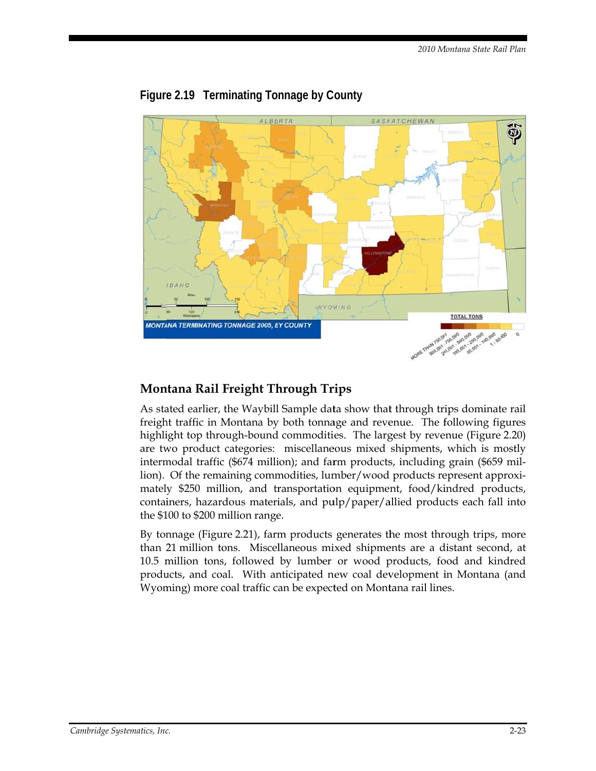

### Figure 2.19 Terminating Tonnage by County

### Montana Rail Freight Through Trips

As stated earlier, the Waybill Sample data show that through trips dominate rail freight traffic in Montana by both tonnage and revenue. The following figures highlight top through-bound commodities. The largest by revenue (Figure 2.20) are two product categories: miscellaneous mixed shipments, which is mostly intermodal traffic (\$674 million); and farm products, including grain (\$659 million). Of the remaining commodities, lumber/wood products represent approximately \$250 million, and transportation equipment, food/kindred products, containers, hazardous materials, and pulp/paper/allied products each fall into the \$100 to \$200 million range.

By tonnage (Figure 2.21), farm products generates the most through trips, more than 21 million tons. Miscellaneous mixed shipments are a distant second, at 10.5 million tons, followed by lumber or wood products, food and kindred products, and coal. With anticipated new coal development in Montana (and Wyoming) more coal traffic can be expected on Montana rail lines.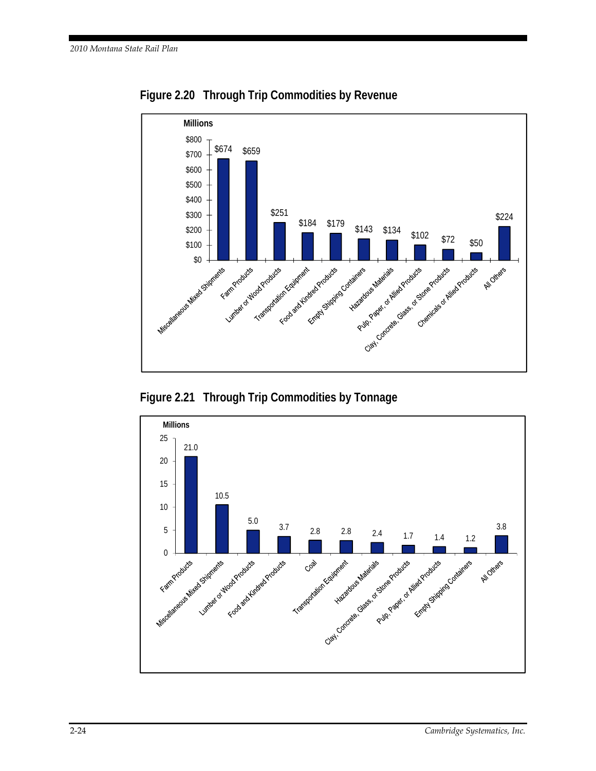

**Figure 2.20 Through Trip Commodities by Revenue** 



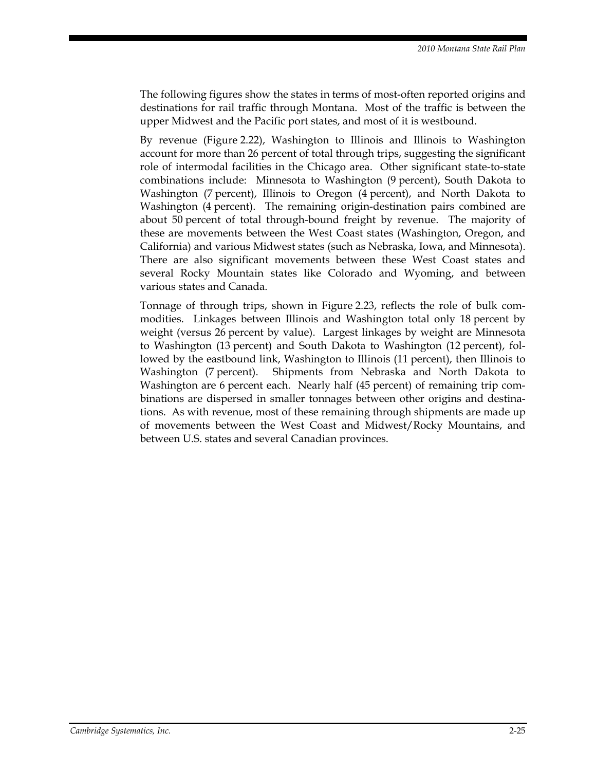The following figures show the states in terms of most-often reported origins and destinations for rail traffic through Montana. Most of the traffic is between the upper Midwest and the Pacific port states, and most of it is westbound.

By revenue (Figure 2.22), Washington to Illinois and Illinois to Washington account for more than 26 percent of total through trips, suggesting the significant role of intermodal facilities in the Chicago area. Other significant state-to-state combinations include: Minnesota to Washington (9 percent), South Dakota to Washington (7 percent), Illinois to Oregon (4 percent), and North Dakota to Washington (4 percent). The remaining origin-destination pairs combined are about 50 percent of total through-bound freight by revenue. The majority of these are movements between the West Coast states (Washington, Oregon, and California) and various Midwest states (such as Nebraska, Iowa, and Minnesota). There are also significant movements between these West Coast states and several Rocky Mountain states like Colorado and Wyoming, and between various states and Canada.

Tonnage of through trips, shown in Figure 2.23, reflects the role of bulk commodities. Linkages between Illinois and Washington total only 18 percent by weight (versus 26 percent by value). Largest linkages by weight are Minnesota to Washington (13 percent) and South Dakota to Washington (12 percent), followed by the eastbound link, Washington to Illinois (11 percent), then Illinois to Washington (7 percent). Shipments from Nebraska and North Dakota to Washington are 6 percent each. Nearly half (45 percent) of remaining trip combinations are dispersed in smaller tonnages between other origins and destinations. As with revenue, most of these remaining through shipments are made up of movements between the West Coast and Midwest/Rocky Mountains, and between U.S. states and several Canadian provinces.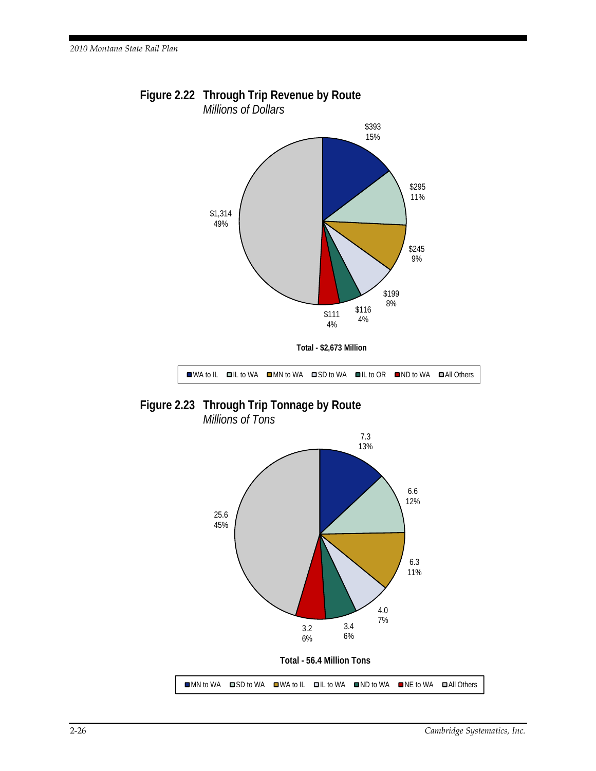

**Figure 2.22 Through Trip Revenue by Route**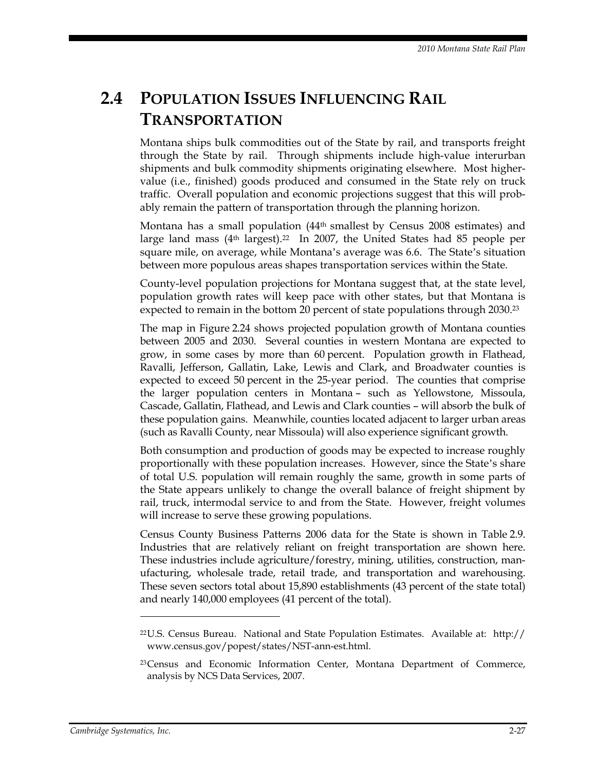# **2.4 POPULATION ISSUES INFLUENCING RAIL TRANSPORTATION**

Montana ships bulk commodities out of the State by rail, and transports freight through the State by rail. Through shipments include high-value interurban shipments and bulk commodity shipments originating elsewhere. Most highervalue (i.e., finished) goods produced and consumed in the State rely on truck traffic. Overall population and economic projections suggest that this will probably remain the pattern of transportation through the planning horizon.

Montana has a small population (44th smallest by Census 2008 estimates) and large land mass  $(4<sup>th</sup> \text{ largest})$ .<sup>22</sup> In 2007, the United States had 85 people per square mile, on average, while Montana's average was 6.6. The State's situation between more populous areas shapes transportation services within the State.

County-level population projections for Montana suggest that, at the state level, population growth rates will keep pace with other states, but that Montana is expected to remain in the bottom 20 percent of state populations through 2030.23

The map in Figure 2.24 shows projected population growth of Montana counties between 2005 and 2030. Several counties in western Montana are expected to grow, in some cases by more than 60 percent. Population growth in Flathead, Ravalli, Jefferson, Gallatin, Lake, Lewis and Clark, and Broadwater counties is expected to exceed 50 percent in the 25-year period. The counties that comprise the larger population centers in Montana – such as Yellowstone, Missoula, Cascade, Gallatin, Flathead, and Lewis and Clark counties – will absorb the bulk of these population gains. Meanwhile, counties located adjacent to larger urban areas (such as Ravalli County, near Missoula) will also experience significant growth.

Both consumption and production of goods may be expected to increase roughly proportionally with these population increases. However, since the State's share of total U.S. population will remain roughly the same, growth in some parts of the State appears unlikely to change the overall balance of freight shipment by rail, truck, intermodal service to and from the State. However, freight volumes will increase to serve these growing populations.

Census County Business Patterns 2006 data for the State is shown in Table 2.9. Industries that are relatively reliant on freight transportation are shown here. These industries include agriculture/forestry, mining, utilities, construction, manufacturing, wholesale trade, retail trade, and transportation and warehousing. These seven sectors total about 15,890 establishments (43 percent of the state total) and nearly 140,000 employees (41 percent of the total).

 $\overline{a}$ 

 $22U.S.$  Census Bureau. National and State Population Estimates. Available at: http:// www.census.gov/popest/states/NST-ann-est.html.

<sup>23</sup> Census and Economic Information Center, Montana Department of Commerce, analysis by NCS Data Services, 2007.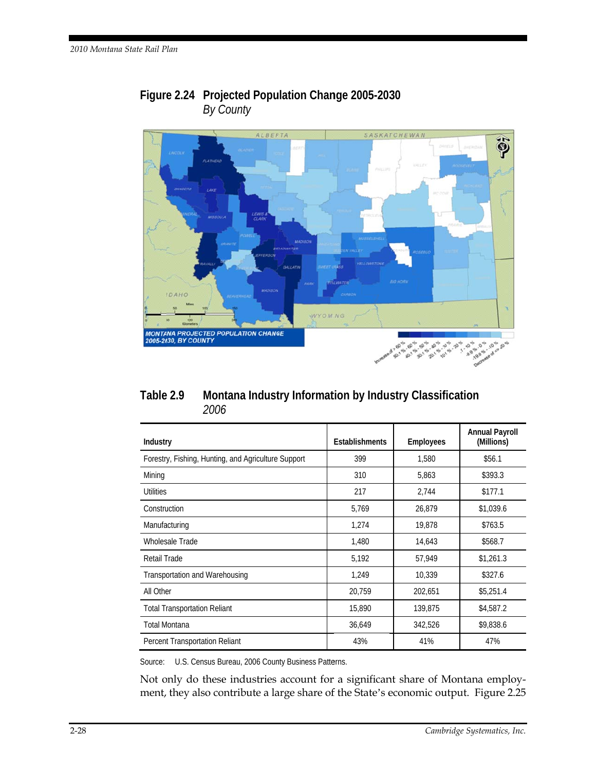

### Figure 2.24 Projected Population Change 2005-2030 By County

| Table 2.9 | Montana Industry Information by Industry Classification |
|-----------|---------------------------------------------------------|
|           | <i>2006</i>                                             |

| Industry                                            | <b>Establishments</b> | <b>Employees</b> | <b>Annual Payroll</b><br>(Millions) |
|-----------------------------------------------------|-----------------------|------------------|-------------------------------------|
| Forestry, Fishing, Hunting, and Agriculture Support | 399                   | 1.580            | \$56.1                              |
| Mining                                              | 310                   | 5,863            | \$393.3                             |
| Utilities                                           | 217                   | 2,744            | \$177.1                             |
| Construction                                        | 5,769                 | 26,879           | \$1,039.6                           |
| Manufacturing                                       | 1,274                 | 19,878           | \$763.5                             |
| Wholesale Trade                                     | 1,480                 | 14,643           | \$568.7                             |
| Retail Trade                                        | 5,192                 | 57,949           | \$1,261.3                           |
| Transportation and Warehousing                      | 1.249                 | 10.339           | \$327.6                             |
| All Other                                           | 20,759                | 202.651          | \$5,251.4                           |
| <b>Total Transportation Reliant</b>                 | 15,890                | 139,875          | \$4,587.2                           |
| <b>Total Montana</b>                                | 36,649                | 342,526          | \$9,838.6                           |
| Percent Transportation Reliant                      | 43%                   | 41%              | 47%                                 |

Source: U.S. Census Bureau, 2006 County Business Patterns.

Not only do these industries account for a significant share of Montana employment, they also contribute a large share of the State's economic output. Figure 2.25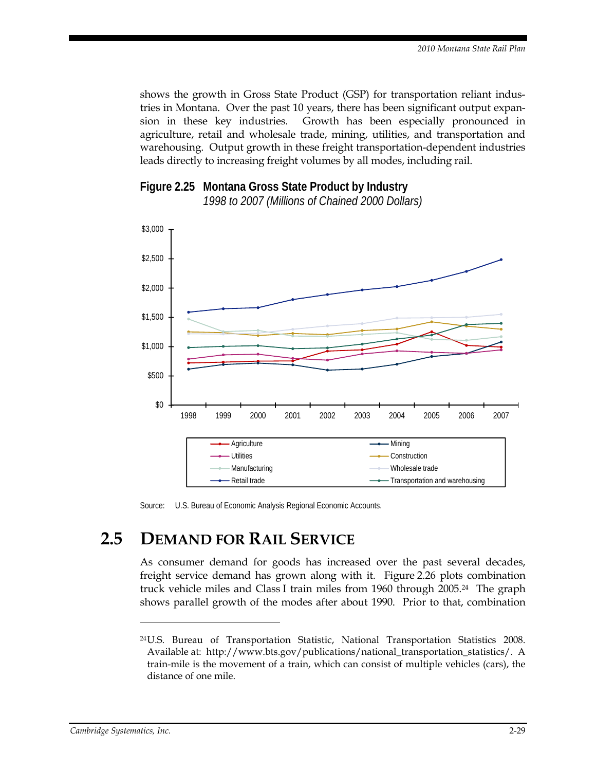shows the growth in Gross State Product (GSP) for transportation reliant industries in Montana. Over the past 10 years, there has been significant output expansion in these key industries. Growth has been especially pronounced in agriculture, retail and wholesale trade, mining, utilities, and transportation and warehousing. Output growth in these freight transportation-dependent industries leads directly to increasing freight volumes by all modes, including rail.



**Figure 2.25 Montana Gross State Product by Industry** 

Source: U.S. Bureau of Economic Analysis Regional Economic Accounts.

# **2.5 DEMAND FOR RAIL SERVICE**

As consumer demand for goods has increased over the past several decades, freight service demand has grown along with it. Figure 2.26 plots combination truck vehicle miles and Class I train miles from 1960 through 2005.24 The graph shows parallel growth of the modes after about 1990. Prior to that, combination

 $\overline{a}$ 

<sup>24</sup> U.S. Bureau of Transportation Statistic, National Transportation Statistics 2008. Available at: http://www.bts.gov/publications/national\_transportation\_statistics/. A train-mile is the movement of a train, which can consist of multiple vehicles (cars), the distance of one mile.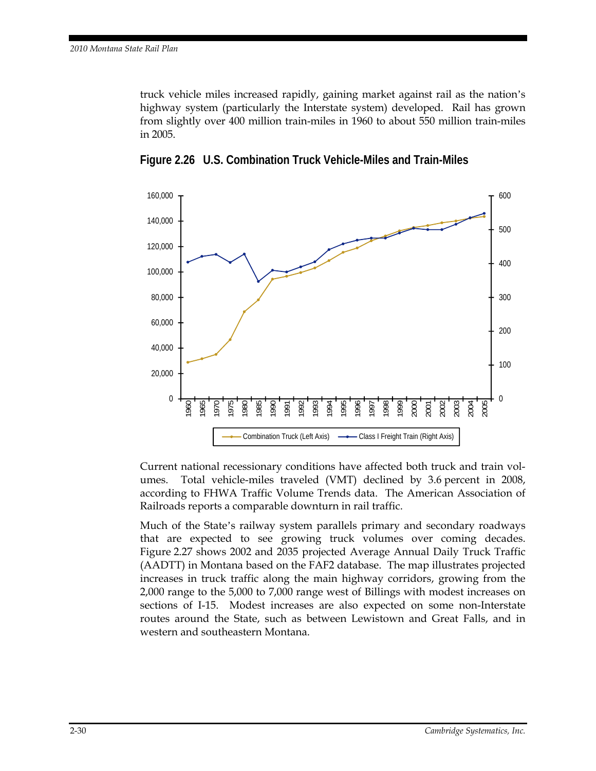truck vehicle miles increased rapidly, gaining market against rail as the nation's highway system (particularly the Interstate system) developed. Rail has grown from slightly over 400 million train-miles in 1960 to about 550 million train-miles in 2005.



**Figure 2.26 U.S. Combination Truck Vehicle-Miles and Train-Miles** 

Current national recessionary conditions have affected both truck and train volumes. Total vehicle-miles traveled (VMT) declined by 3.6 percent in 2008, according to FHWA Traffic Volume Trends data. The American Association of Railroads reports a comparable downturn in rail traffic.

Much of the State's railway system parallels primary and secondary roadways that are expected to see growing truck volumes over coming decades. Figure 2.27 shows 2002 and 2035 projected Average Annual Daily Truck Traffic (AADTT) in Montana based on the FAF2 database. The map illustrates projected increases in truck traffic along the main highway corridors, growing from the 2,000 range to the 5,000 to 7,000 range west of Billings with modest increases on sections of I-15. Modest increases are also expected on some non-Interstate routes around the State, such as between Lewistown and Great Falls, and in western and southeastern Montana.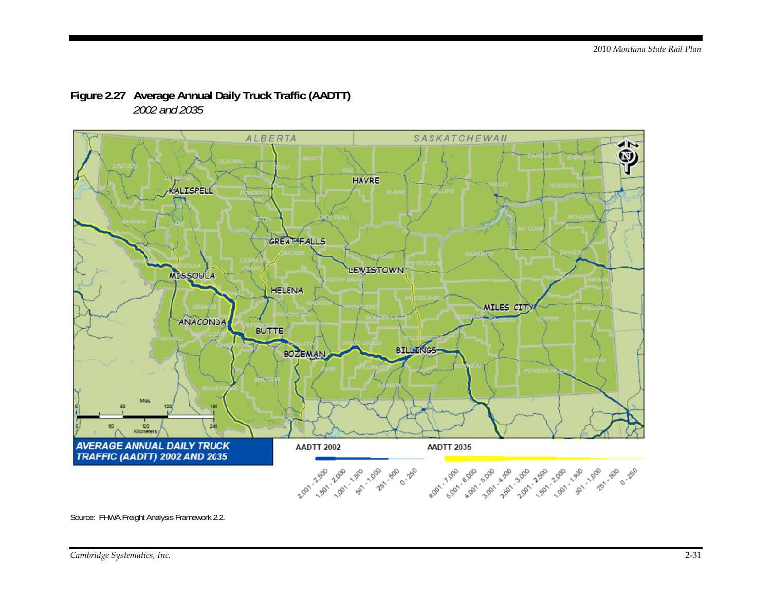

### Figure 2.27 Average Annual Daily Truck Traffic (AADTT) 2002 and 2035

Source: FHWA Freight Analysis Framework 2.2.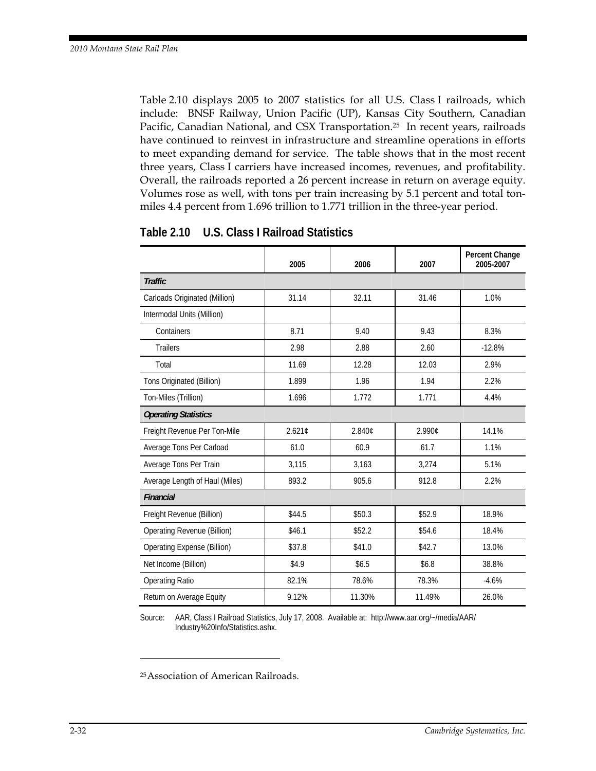Table 2.10 displays 2005 to 2007 statistics for all U.S. Class I railroads, which include: BNSF Railway, Union Pacific (UP), Kansas City Southern, Canadian Pacific, Canadian National, and CSX Transportation.25 In recent years, railroads have continued to reinvest in infrastructure and streamline operations in efforts to meet expanding demand for service. The table shows that in the most recent three years, Class I carriers have increased incomes, revenues, and profitability. Overall, the railroads reported a 26 percent increase in return on average equity. Volumes rose as well, with tons per train increasing by 5.1 percent and total tonmiles 4.4 percent from 1.696 trillion to 1.771 trillion in the three-year period.

|                                    | 2005   | 2006   | 2007   | Percent Change<br>2005-2007 |
|------------------------------------|--------|--------|--------|-----------------------------|
| <b>Traffic</b>                     |        |        |        |                             |
| Carloads Originated (Million)      | 31.14  | 32.11  | 31.46  | 1.0%                        |
| Intermodal Units (Million)         |        |        |        |                             |
| Containers                         | 8.71   | 9.40   | 9.43   | 8.3%                        |
| <b>Trailers</b>                    | 2.98   | 2.88   | 2.60   | $-12.8%$                    |
| Total                              | 11.69  | 12.28  | 12.03  | 2.9%                        |
| Tons Originated (Billion)          | 1.899  | 1.96   | 1.94   | 2.2%                        |
| Ton-Miles (Trillion)               | 1.696  | 1.772  | 1.771  | 4.4%                        |
| <b>Operating Statistics</b>        |        |        |        |                             |
| Freight Revenue Per Ton-Mile       | 2.621¢ | 2.840¢ | 2.990€ | 14.1%                       |
| Average Tons Per Carload           | 61.0   | 60.9   | 61.7   | 1.1%                        |
| Average Tons Per Train             | 3,115  | 3,163  | 3,274  | 5.1%                        |
| Average Length of Haul (Miles)     | 893.2  | 905.6  | 912.8  | 2.2%                        |
| <b>Financial</b>                   |        |        |        |                             |
| Freight Revenue (Billion)          | \$44.5 | \$50.3 | \$52.9 | 18.9%                       |
| Operating Revenue (Billion)        | \$46.1 | \$52.2 | \$54.6 | 18.4%                       |
| <b>Operating Expense (Billion)</b> | \$37.8 | \$41.0 | \$42.7 | 13.0%                       |
| Net Income (Billion)               | \$4.9  | \$6.5  | \$6.8  | 38.8%                       |
| <b>Operating Ratio</b>             | 82.1%  | 78.6%  | 78.3%  | $-4.6%$                     |
| Return on Average Equity           | 9.12%  | 11.30% | 11.49% | 26.0%                       |

**Table 2.10 U.S. Class I Railroad Statistics** 

Source: AAR, Class I Railroad Statistics, July 17, 2008. Available at: http://www.aar.org/~/media/AAR/ Industry%20Info/Statistics.ashx.

 $\ddot{\phantom{a}}$ 

<sup>25</sup> Association of American Railroads.